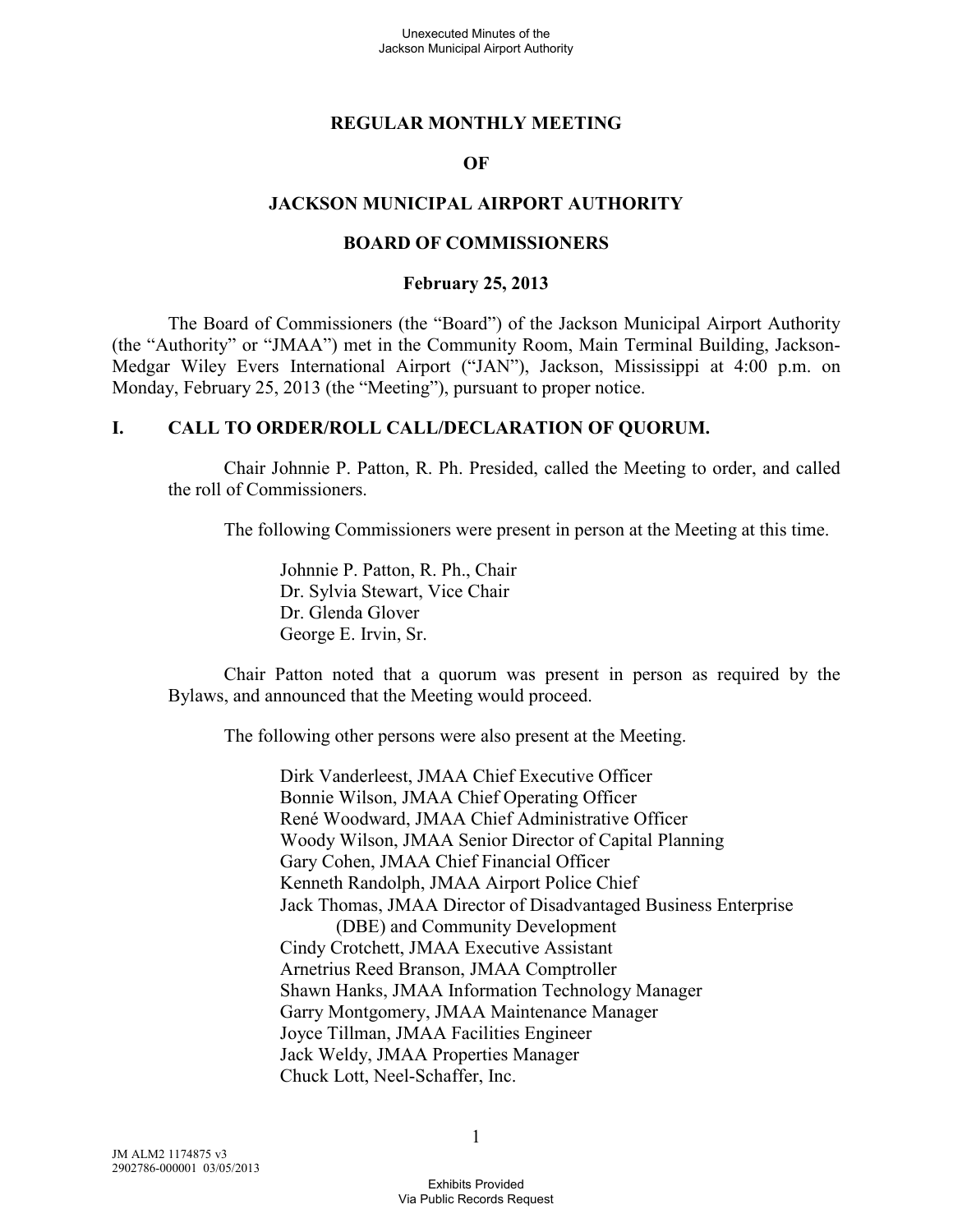### **REGULAR MONTHLY MEETING**

### **OF**

#### **JACKSON MUNICIPAL AIRPORT AUTHORITY**

#### **BOARD OF COMMISSIONERS**

#### **February 25, 2013**

The Board of Commissioners (the "Board") of the Jackson Municipal Airport Authority (the "Authority" or "JMAA") met in the Community Room, Main Terminal Building, Jackson-Medgar Wiley Evers International Airport ("JAN"), Jackson, Mississippi at 4:00 p.m. on Monday, February 25, 2013 (the "Meeting"), pursuant to proper notice.

#### **I. CALL TO ORDER/ROLL CALL/DECLARATION OF QUORUM.**

Chair Johnnie P. Patton, R. Ph. Presided, called the Meeting to order, and called the roll of Commissioners.

The following Commissioners were present in person at the Meeting at this time.

Johnnie P. Patton, R. Ph., Chair Dr. Sylvia Stewart, Vice Chair Dr. Glenda Glover George E. Irvin, Sr.

Chair Patton noted that a quorum was present in person as required by the Bylaws, and announced that the Meeting would proceed.

The following other persons were also present at the Meeting.

Dirk Vanderleest, JMAA Chief Executive Officer Bonnie Wilson, JMAA Chief Operating Officer René Woodward, JMAA Chief Administrative Officer Woody Wilson, JMAA Senior Director of Capital Planning Gary Cohen, JMAA Chief Financial Officer Kenneth Randolph, JMAA Airport Police Chief Jack Thomas, JMAA Director of Disadvantaged Business Enterprise (DBE) and Community Development Cindy Crotchett, JMAA Executive Assistant Arnetrius Reed Branson, JMAA Comptroller Shawn Hanks, JMAA Information Technology Manager Garry Montgomery, JMAA Maintenance Manager Joyce Tillman, JMAA Facilities Engineer Jack Weldy, JMAA Properties Manager Chuck Lott, Neel-Schaffer, Inc.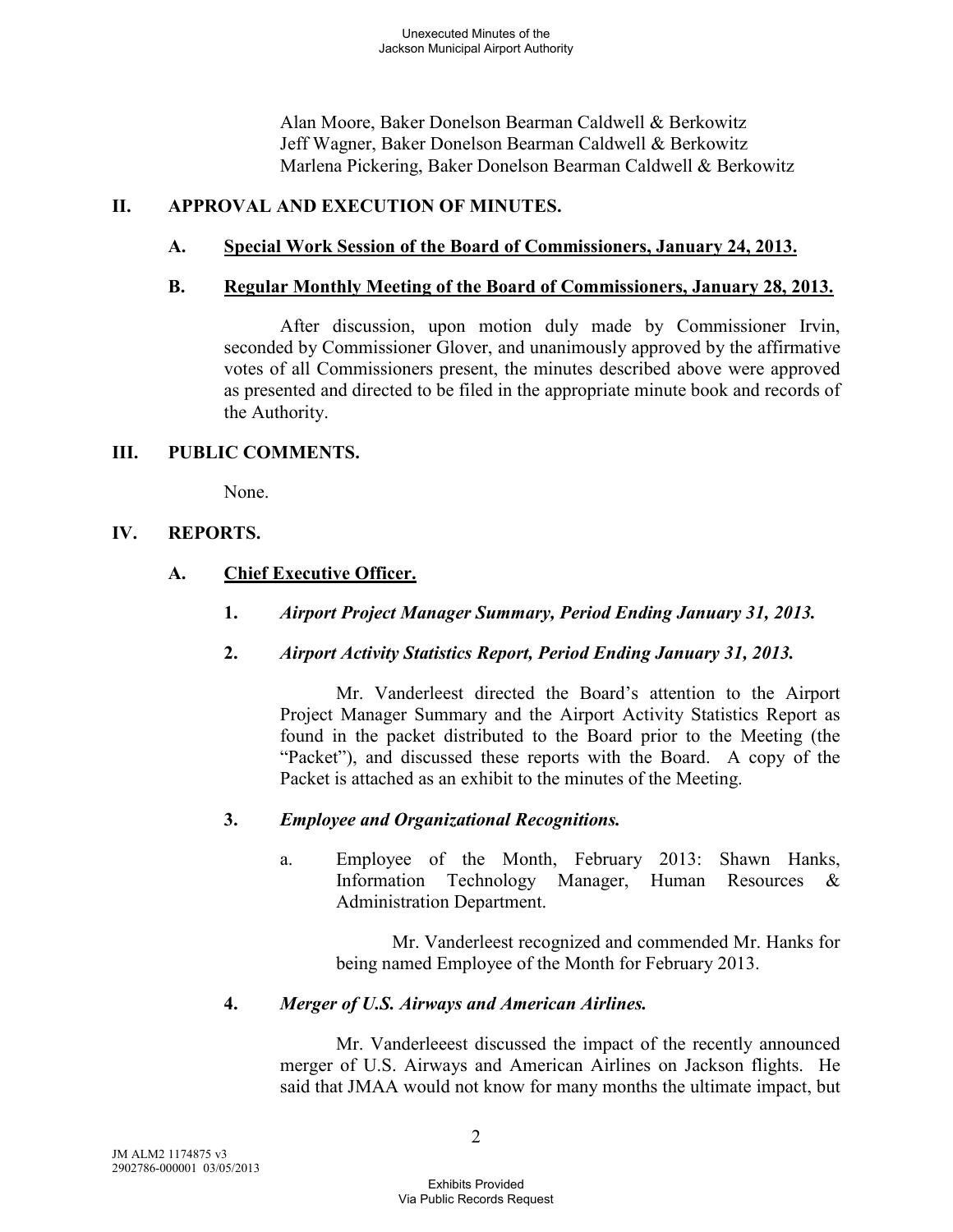Alan Moore, Baker Donelson Bearman Caldwell & Berkowitz Jeff Wagner, Baker Donelson Bearman Caldwell & Berkowitz Marlena Pickering, Baker Donelson Bearman Caldwell & Berkowitz

# **II. APPROVAL AND EXECUTION OF MINUTES.**

# **A. Special Work Session of the Board of Commissioners, January 24, 2013.**

### **B. Regular Monthly Meeting of the Board of Commissioners, January 28, 2013.**

After discussion, upon motion duly made by Commissioner Irvin, seconded by Commissioner Glover, and unanimously approved by the affirmative votes of all Commissioners present, the minutes described above were approved as presented and directed to be filed in the appropriate minute book and records of the Authority.

### **III. PUBLIC COMMENTS.**

None.

### **IV. REPORTS.**

# **A. Chief Executive Officer.**

- **1.** *Airport Project Manager Summary, Period Ending January 31, 2013.*
- **2.** *Airport Activity Statistics Report, Period Ending January 31, 2013.*

Mr. Vanderleest directed the Board's attention to the Airport Project Manager Summary and the Airport Activity Statistics Report as found in the packet distributed to the Board prior to the Meeting (the "Packet"), and discussed these reports with the Board. A copy of the Packet is attached as an exhibit to the minutes of the Meeting.

# **3.** *Employee and Organizational Recognitions.*

a. Employee of the Month, February 2013: Shawn Hanks, Information Technology Manager, Human Resources & Administration Department.

Mr. Vanderleest recognized and commended Mr. Hanks for being named Employee of the Month for February 2013.

# **4.** *Merger of U.S. Airways and American Airlines.*

Mr. Vanderleeest discussed the impact of the recently announced merger of U.S. Airways and American Airlines on Jackson flights. He said that JMAA would not know for many months the ultimate impact, but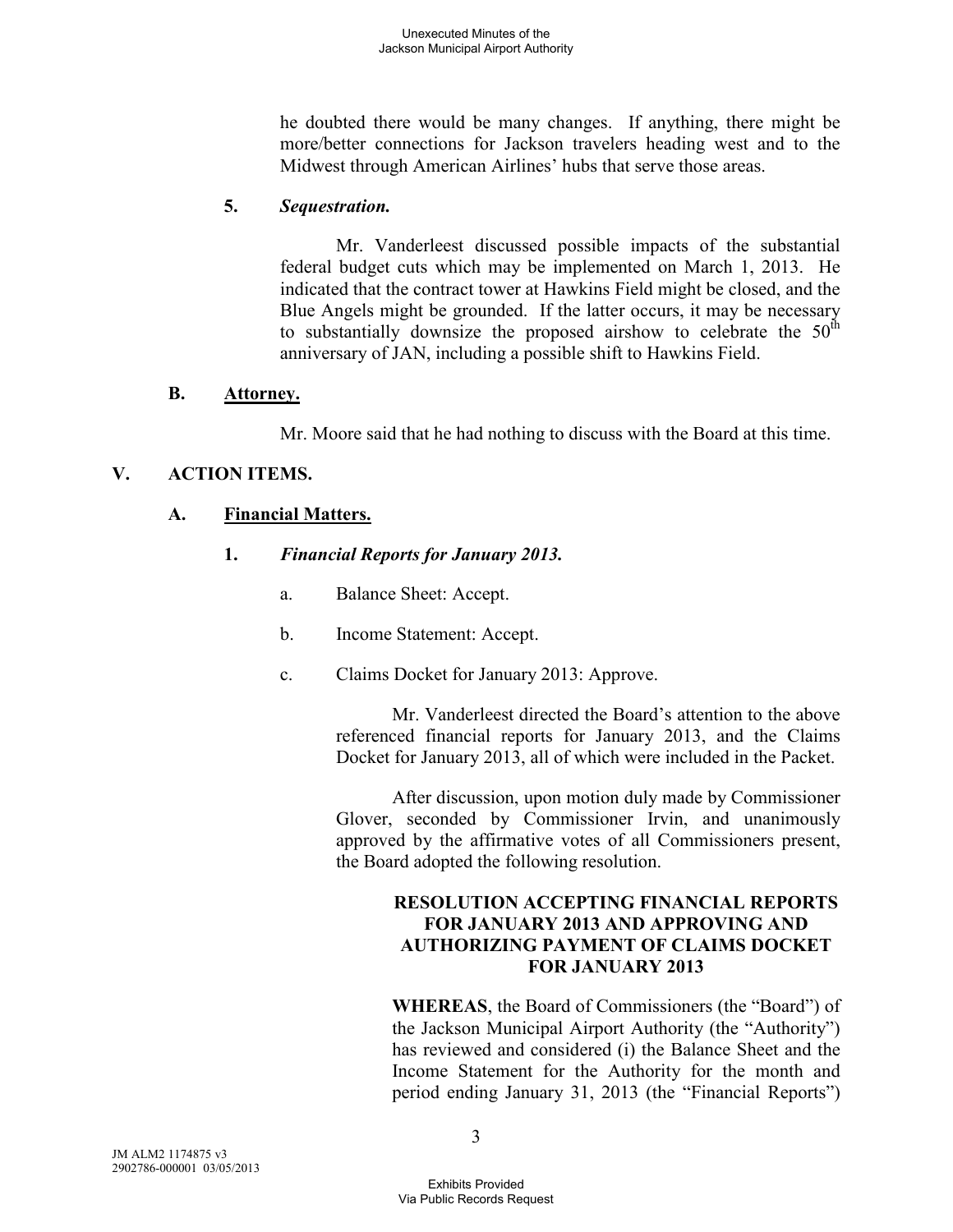he doubted there would be many changes. If anything, there might be more/better connections for Jackson travelers heading west and to the Midwest through American Airlines' hubs that serve those areas.

# **5.** *Sequestration.*

Mr. Vanderleest discussed possible impacts of the substantial federal budget cuts which may be implemented on March 1, 2013. He indicated that the contract tower at Hawkins Field might be closed, and the Blue Angels might be grounded. If the latter occurs, it may be necessary to substantially downsize the proposed airshow to celebrate the  $50<sup>th</sup>$ anniversary of JAN, including a possible shift to Hawkins Field.

### **B. Attorney.**

Mr. Moore said that he had nothing to discuss with the Board at this time.

# **V. ACTION ITEMS.**

### **A. Financial Matters.**

### **1.** *Financial Reports for January 2013.*

- a. Balance Sheet: Accept.
- b. Income Statement: Accept.
- c. Claims Docket for January 2013: Approve.

Mr. Vanderleest directed the Board's attention to the above referenced financial reports for January 2013, and the Claims Docket for January 2013, all of which were included in the Packet.

After discussion, upon motion duly made by Commissioner Glover, seconded by Commissioner Irvin, and unanimously approved by the affirmative votes of all Commissioners present, the Board adopted the following resolution.

### **RESOLUTION ACCEPTING FINANCIAL REPORTS FOR JANUARY 2013 AND APPROVING AND AUTHORIZING PAYMENT OF CLAIMS DOCKET FOR JANUARY 2013**

**WHEREAS**, the Board of Commissioners (the "Board") of the Jackson Municipal Airport Authority (the "Authority") has reviewed and considered (i) the Balance Sheet and the Income Statement for the Authority for the month and period ending January 31, 2013 (the "Financial Reports")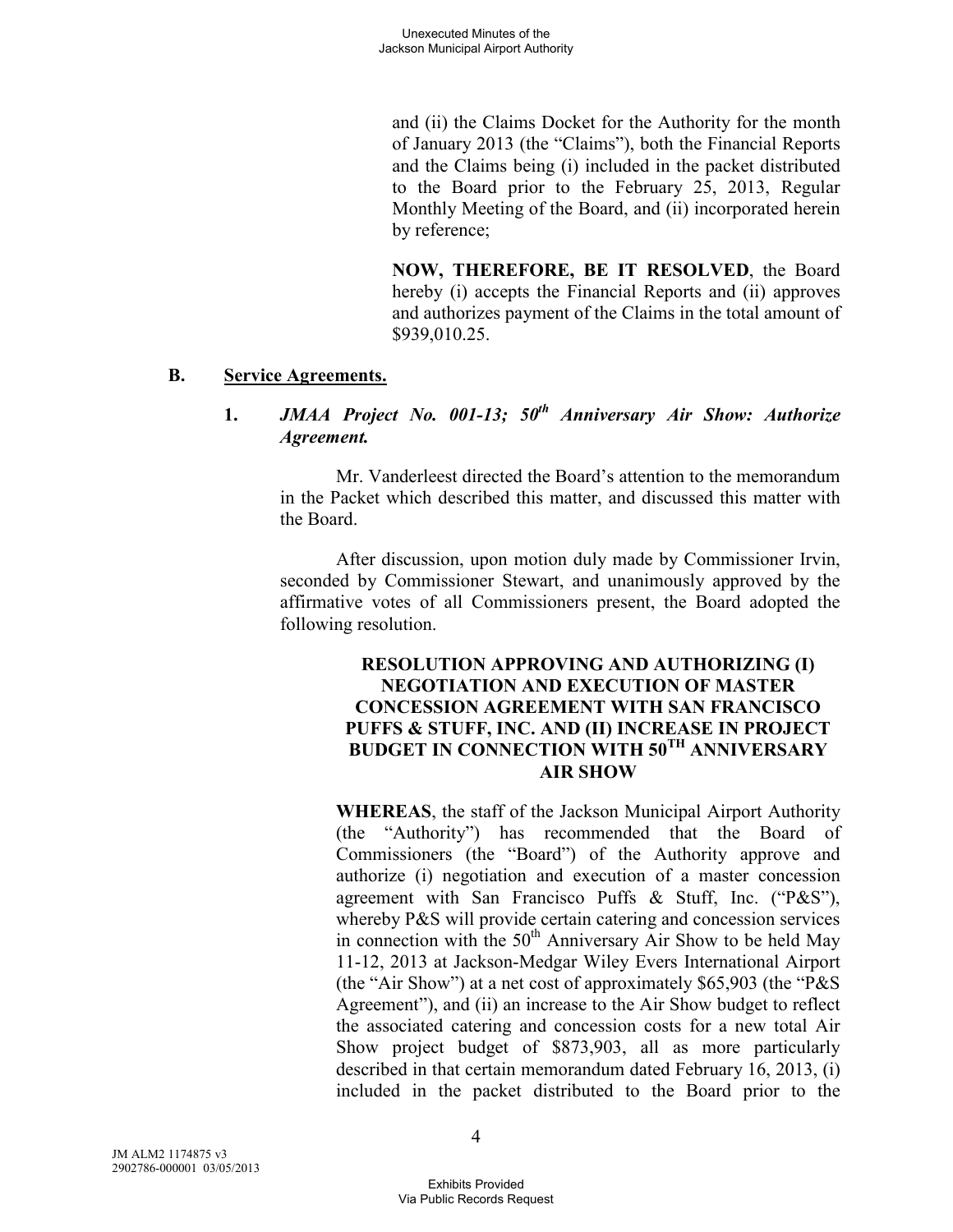and (ii) the Claims Docket for the Authority for the month of January 2013 (the "Claims"), both the Financial Reports and the Claims being (i) included in the packet distributed to the Board prior to the February 25, 2013, Regular Monthly Meeting of the Board, and (ii) incorporated herein by reference;

**NOW, THEREFORE, BE IT RESOLVED**, the Board hereby (i) accepts the Financial Reports and (ii) approves and authorizes payment of the Claims in the total amount of \$939,010.25.

### **B. Service Agreements.**

# **1.** *JMAA Project No. 001-13; 50th Anniversary Air Show: Authorize Agreement.*

Mr. Vanderleest directed the Board's attention to the memorandum in the Packet which described this matter, and discussed this matter with the Board.

After discussion, upon motion duly made by Commissioner Irvin, seconded by Commissioner Stewart, and unanimously approved by the affirmative votes of all Commissioners present, the Board adopted the following resolution.

### **RESOLUTION APPROVING AND AUTHORIZING (I) NEGOTIATION AND EXECUTION OF MASTER CONCESSION AGREEMENT WITH SAN FRANCISCO PUFFS & STUFF, INC. AND (II) INCREASE IN PROJECT BUDGET IN CONNECTION WITH 50TH ANNIVERSARY AIR SHOW**

**WHEREAS**, the staff of the Jackson Municipal Airport Authority (the "Authority") has recommended that the Board of Commissioners (the "Board") of the Authority approve and authorize (i) negotiation and execution of a master concession agreement with San Francisco Puffs & Stuff, Inc. ("P&S"), whereby P&S will provide certain catering and concession services in connection with the  $50<sup>th</sup>$  Anniversary Air Show to be held May 11-12, 2013 at Jackson-Medgar Wiley Evers International Airport (the "Air Show") at a net cost of approximately \$65,903 (the "P&S Agreement"), and (ii) an increase to the Air Show budget to reflect the associated catering and concession costs for a new total Air Show project budget of \$873,903, all as more particularly described in that certain memorandum dated February 16, 2013, (i) included in the packet distributed to the Board prior to the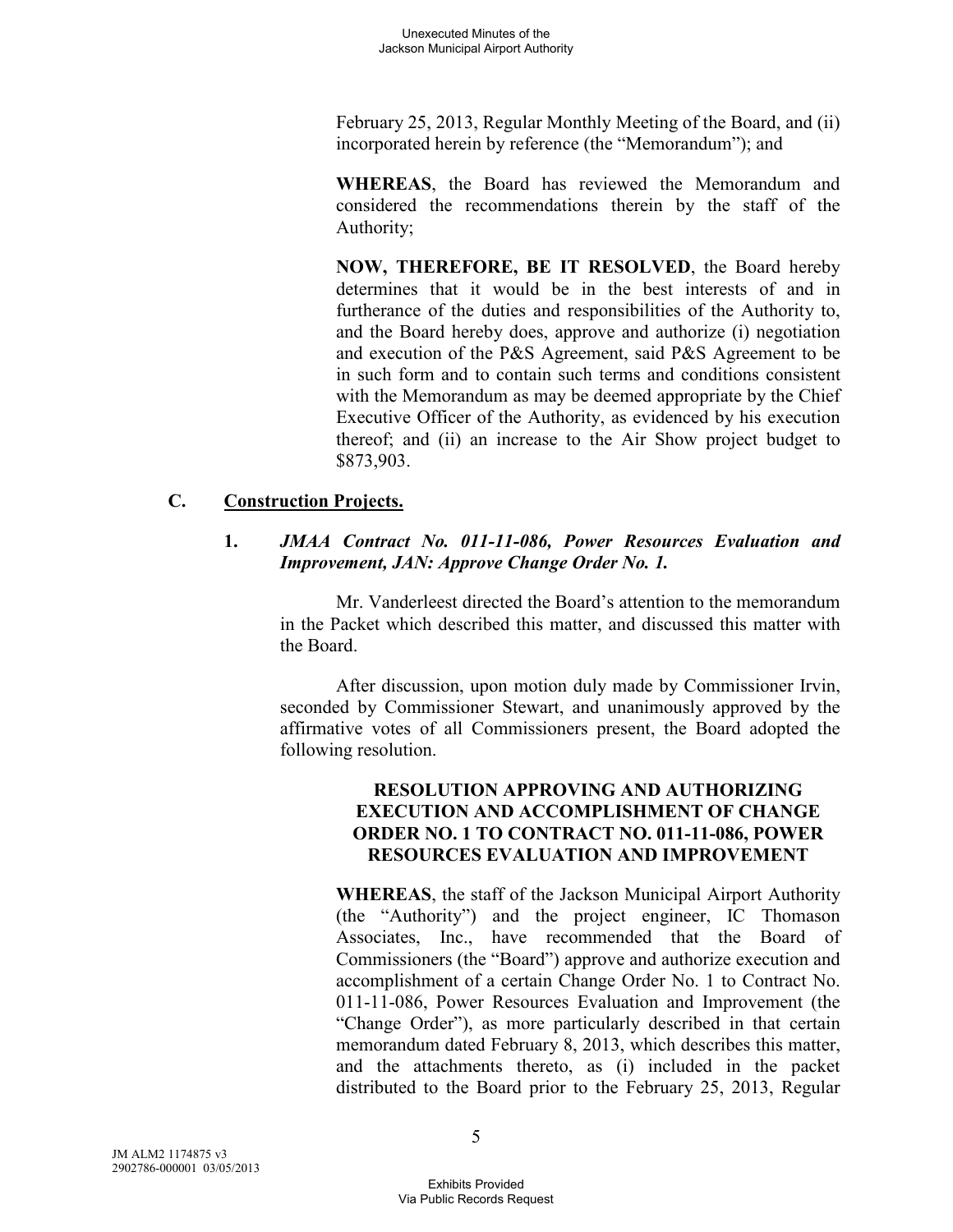February 25, 2013, Regular Monthly Meeting of the Board, and (ii) incorporated herein by reference (the "Memorandum"); and

**WHEREAS**, the Board has reviewed the Memorandum and considered the recommendations therein by the staff of the Authority;

**NOW, THEREFORE, BE IT RESOLVED**, the Board hereby determines that it would be in the best interests of and in furtherance of the duties and responsibilities of the Authority to, and the Board hereby does, approve and authorize (i) negotiation and execution of the P&S Agreement, said P&S Agreement to be in such form and to contain such terms and conditions consistent with the Memorandum as may be deemed appropriate by the Chief Executive Officer of the Authority, as evidenced by his execution thereof; and (ii) an increase to the Air Show project budget to \$873,903.

# **C. Construction Projects.**

# **1.** *JMAA Contract No. 011-11-086, Power Resources Evaluation and Improvement, JAN: Approve Change Order No. 1.*

Mr. Vanderleest directed the Board's attention to the memorandum in the Packet which described this matter, and discussed this matter with the Board.

After discussion, upon motion duly made by Commissioner Irvin, seconded by Commissioner Stewart, and unanimously approved by the affirmative votes of all Commissioners present, the Board adopted the following resolution.

# **RESOLUTION APPROVING AND AUTHORIZING EXECUTION AND ACCOMPLISHMENT OF CHANGE ORDER NO. 1 TO CONTRACT NO. 011-11-086, POWER RESOURCES EVALUATION AND IMPROVEMENT**

**WHEREAS**, the staff of the Jackson Municipal Airport Authority (the "Authority") and the project engineer, IC Thomason Associates, Inc., have recommended that the Board of Commissioners (the "Board") approve and authorize execution and accomplishment of a certain Change Order No. 1 to Contract No. 011-11-086, Power Resources Evaluation and Improvement (the "Change Order"), as more particularly described in that certain memorandum dated February 8, 2013, which describes this matter, and the attachments thereto, as (i) included in the packet distributed to the Board prior to the February 25, 2013, Regular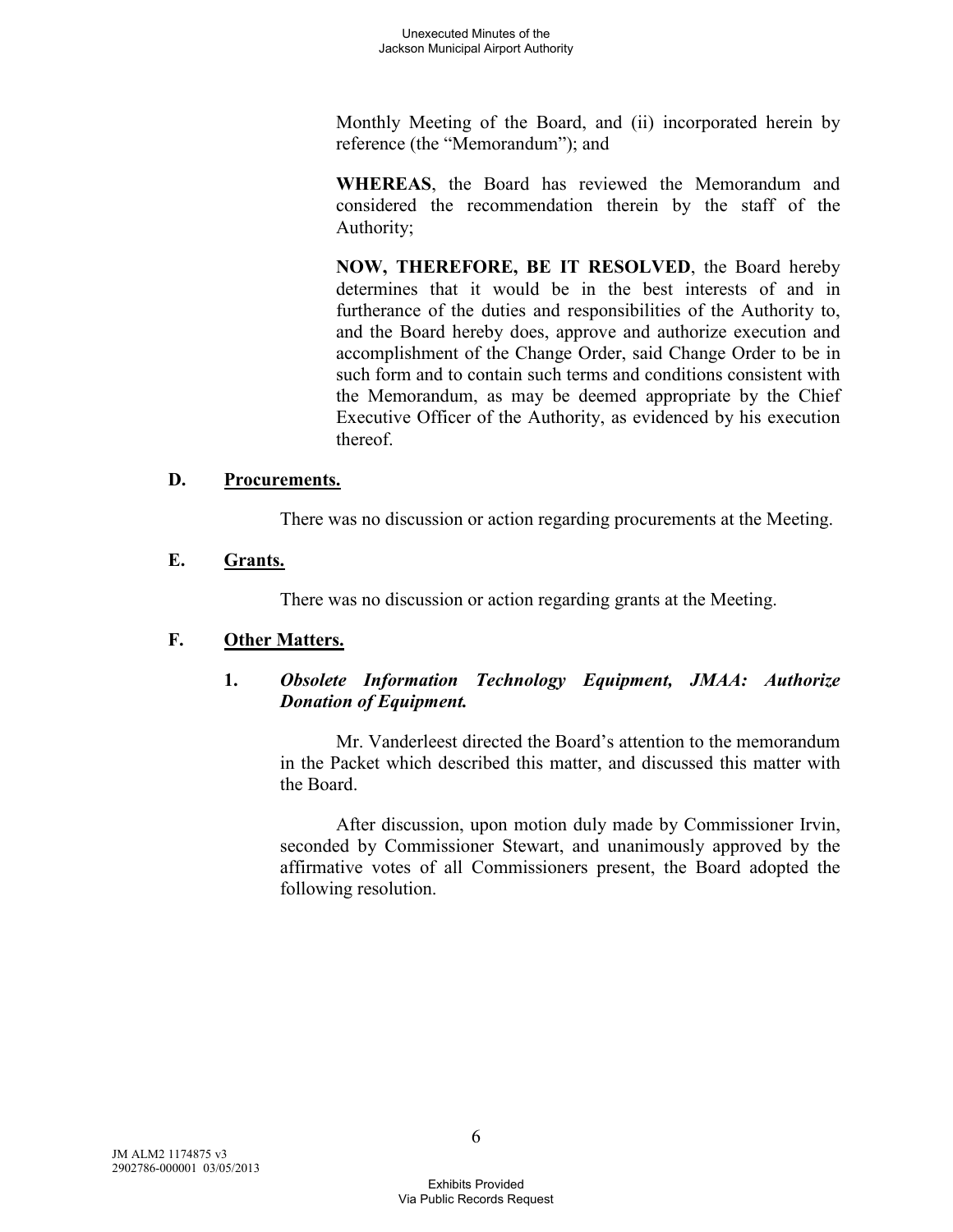Monthly Meeting of the Board, and (ii) incorporated herein by reference (the "Memorandum"); and

**WHEREAS**, the Board has reviewed the Memorandum and considered the recommendation therein by the staff of the Authority;

**NOW, THEREFORE, BE IT RESOLVED**, the Board hereby determines that it would be in the best interests of and in furtherance of the duties and responsibilities of the Authority to, and the Board hereby does, approve and authorize execution and accomplishment of the Change Order, said Change Order to be in such form and to contain such terms and conditions consistent with the Memorandum, as may be deemed appropriate by the Chief Executive Officer of the Authority, as evidenced by his execution thereof.

### **D. Procurements.**

There was no discussion or action regarding procurements at the Meeting.

# **E. Grants.**

There was no discussion or action regarding grants at the Meeting.

# **F. Other Matters.**

# **1.** *Obsolete Information Technology Equipment, JMAA: Authorize Donation of Equipment.*

Mr. Vanderleest directed the Board's attention to the memorandum in the Packet which described this matter, and discussed this matter with the Board.

After discussion, upon motion duly made by Commissioner Irvin, seconded by Commissioner Stewart, and unanimously approved by the affirmative votes of all Commissioners present, the Board adopted the following resolution.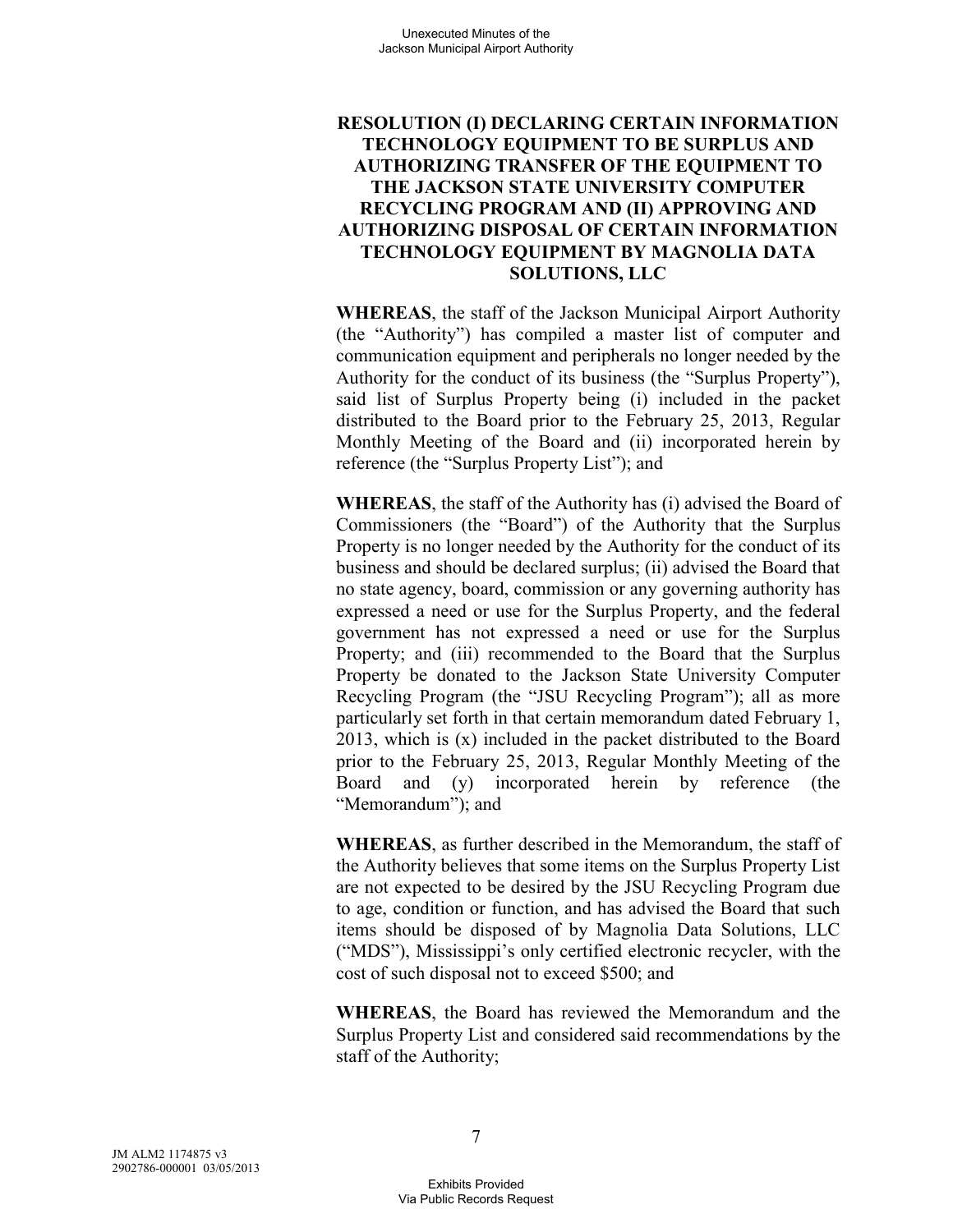### **RESOLUTION (I) DECLARING CERTAIN INFORMATION TECHNOLOGY EQUIPMENT TO BE SURPLUS AND AUTHORIZING TRANSFER OF THE EQUIPMENT TO THE JACKSON STATE UNIVERSITY COMPUTER RECYCLING PROGRAM AND (II) APPROVING AND AUTHORIZING DISPOSAL OF CERTAIN INFORMATION TECHNOLOGY EQUIPMENT BY MAGNOLIA DATA SOLUTIONS, LLC**

**WHEREAS**, the staff of the Jackson Municipal Airport Authority (the "Authority") has compiled a master list of computer and communication equipment and peripherals no longer needed by the Authority for the conduct of its business (the "Surplus Property"), said list of Surplus Property being (i) included in the packet distributed to the Board prior to the February 25, 2013, Regular Monthly Meeting of the Board and (ii) incorporated herein by reference (the "Surplus Property List"); and

**WHEREAS**, the staff of the Authority has (i) advised the Board of Commissioners (the "Board") of the Authority that the Surplus Property is no longer needed by the Authority for the conduct of its business and should be declared surplus; (ii) advised the Board that no state agency, board, commission or any governing authority has expressed a need or use for the Surplus Property, and the federal government has not expressed a need or use for the Surplus Property; and (iii) recommended to the Board that the Surplus Property be donated to the Jackson State University Computer Recycling Program (the "JSU Recycling Program"); all as more particularly set forth in that certain memorandum dated February 1, 2013, which is (x) included in the packet distributed to the Board prior to the February 25, 2013, Regular Monthly Meeting of the Board and (y) incorporated herein by reference (the "Memorandum"); and

**WHEREAS**, as further described in the Memorandum, the staff of the Authority believes that some items on the Surplus Property List are not expected to be desired by the JSU Recycling Program due to age, condition or function, and has advised the Board that such items should be disposed of by Magnolia Data Solutions, LLC ("MDS"), Mississippi's only certified electronic recycler, with the cost of such disposal not to exceed \$500; and

**WHEREAS**, the Board has reviewed the Memorandum and the Surplus Property List and considered said recommendations by the staff of the Authority;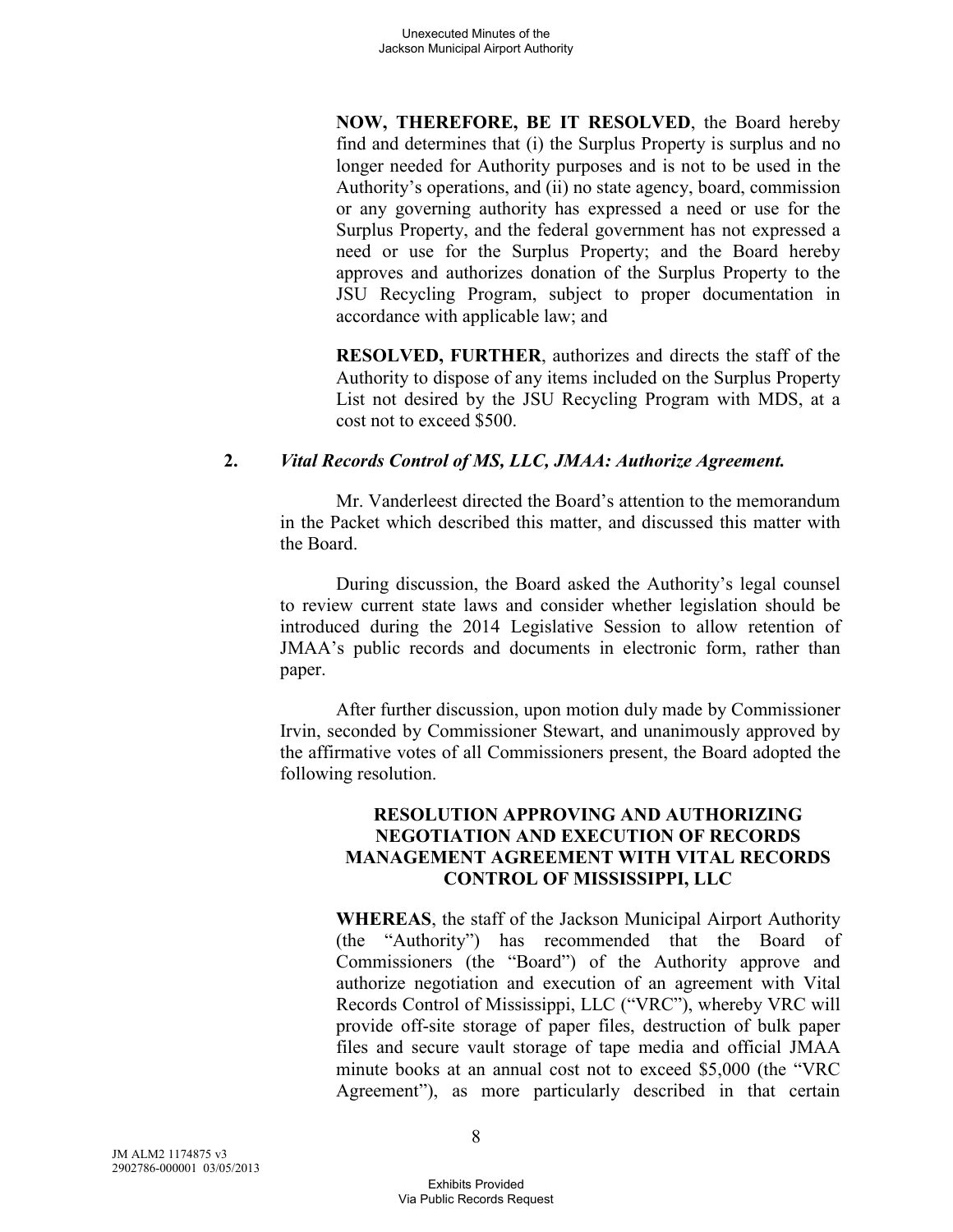**NOW, THEREFORE, BE IT RESOLVED**, the Board hereby find and determines that (i) the Surplus Property is surplus and no longer needed for Authority purposes and is not to be used in the Authority's operations, and (ii) no state agency, board, commission or any governing authority has expressed a need or use for the Surplus Property, and the federal government has not expressed a need or use for the Surplus Property; and the Board hereby approves and authorizes donation of the Surplus Property to the JSU Recycling Program, subject to proper documentation in accordance with applicable law; and

**RESOLVED, FURTHER**, authorizes and directs the staff of the Authority to dispose of any items included on the Surplus Property List not desired by the JSU Recycling Program with MDS, at a cost not to exceed \$500.

### **2.** *Vital Records Control of MS, LLC, JMAA: Authorize Agreement.*

Mr. Vanderleest directed the Board's attention to the memorandum in the Packet which described this matter, and discussed this matter with the Board.

During discussion, the Board asked the Authority's legal counsel to review current state laws and consider whether legislation should be introduced during the 2014 Legislative Session to allow retention of JMAA's public records and documents in electronic form, rather than paper.

After further discussion, upon motion duly made by Commissioner Irvin, seconded by Commissioner Stewart, and unanimously approved by the affirmative votes of all Commissioners present, the Board adopted the following resolution.

### **RESOLUTION APPROVING AND AUTHORIZING NEGOTIATION AND EXECUTION OF RECORDS MANAGEMENT AGREEMENT WITH VITAL RECORDS CONTROL OF MISSISSIPPI, LLC**

**WHEREAS**, the staff of the Jackson Municipal Airport Authority (the "Authority") has recommended that the Board of Commissioners (the "Board") of the Authority approve and authorize negotiation and execution of an agreement with Vital Records Control of Mississippi, LLC ("VRC"), whereby VRC will provide off-site storage of paper files, destruction of bulk paper files and secure vault storage of tape media and official JMAA minute books at an annual cost not to exceed \$5,000 (the "VRC Agreement"), as more particularly described in that certain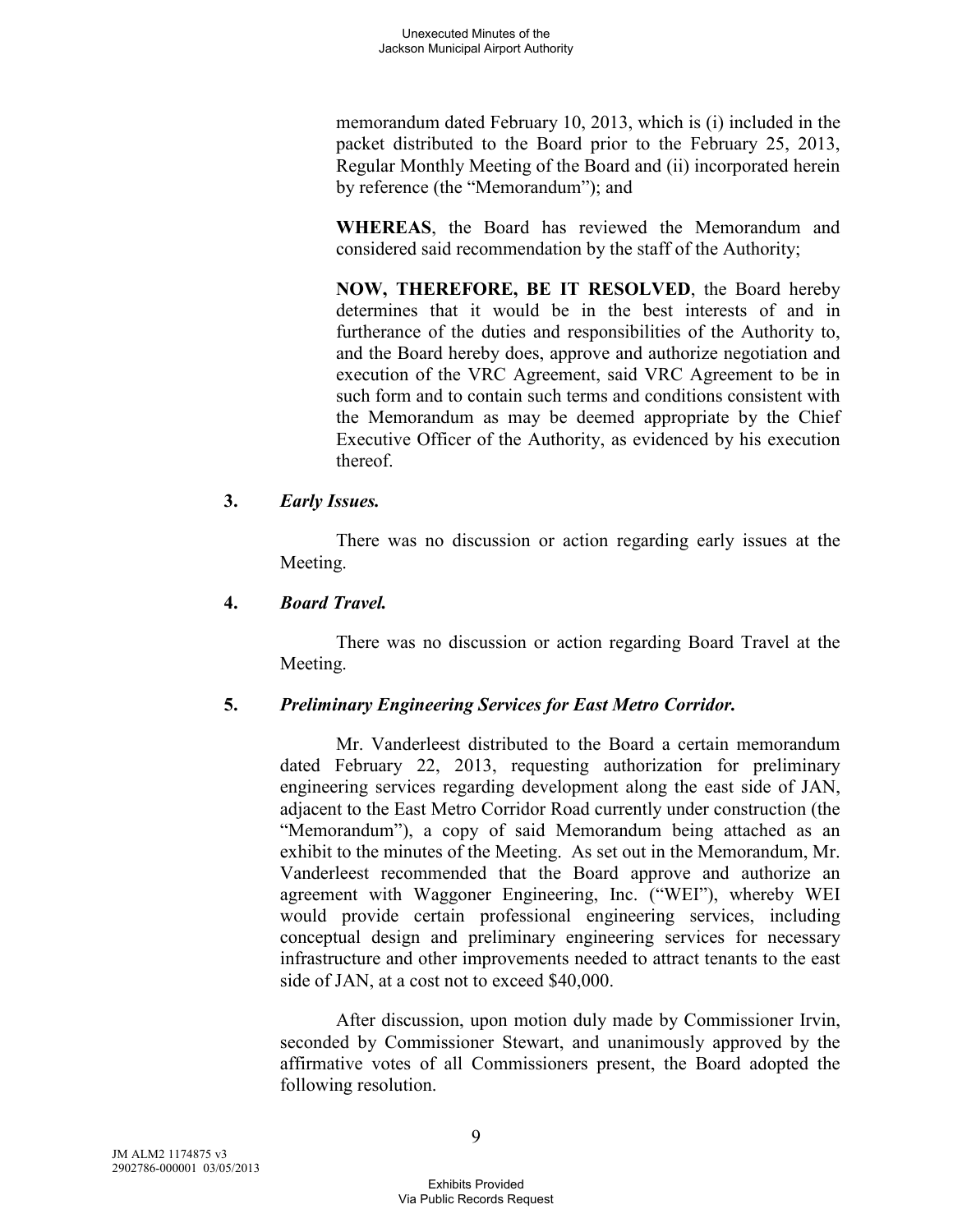memorandum dated February 10, 2013, which is (i) included in the packet distributed to the Board prior to the February 25, 2013, Regular Monthly Meeting of the Board and (ii) incorporated herein by reference (the "Memorandum"); and

**WHEREAS**, the Board has reviewed the Memorandum and considered said recommendation by the staff of the Authority;

**NOW, THEREFORE, BE IT RESOLVED**, the Board hereby determines that it would be in the best interests of and in furtherance of the duties and responsibilities of the Authority to, and the Board hereby does, approve and authorize negotiation and execution of the VRC Agreement, said VRC Agreement to be in such form and to contain such terms and conditions consistent with the Memorandum as may be deemed appropriate by the Chief Executive Officer of the Authority, as evidenced by his execution thereof.

### **3.** *Early Issues.*

There was no discussion or action regarding early issues at the Meeting.

### **4.** *Board Travel.*

There was no discussion or action regarding Board Travel at the Meeting.

# **5.** *Preliminary Engineering Services for East Metro Corridor.*

Mr. Vanderleest distributed to the Board a certain memorandum dated February 22, 2013, requesting authorization for preliminary engineering services regarding development along the east side of JAN, adjacent to the East Metro Corridor Road currently under construction (the "Memorandum"), a copy of said Memorandum being attached as an exhibit to the minutes of the Meeting. As set out in the Memorandum, Mr. Vanderleest recommended that the Board approve and authorize an agreement with Waggoner Engineering, Inc. ("WEI"), whereby WEI would provide certain professional engineering services, including conceptual design and preliminary engineering services for necessary infrastructure and other improvements needed to attract tenants to the east side of JAN, at a cost not to exceed \$40,000.

After discussion, upon motion duly made by Commissioner Irvin, seconded by Commissioner Stewart, and unanimously approved by the affirmative votes of all Commissioners present, the Board adopted the following resolution.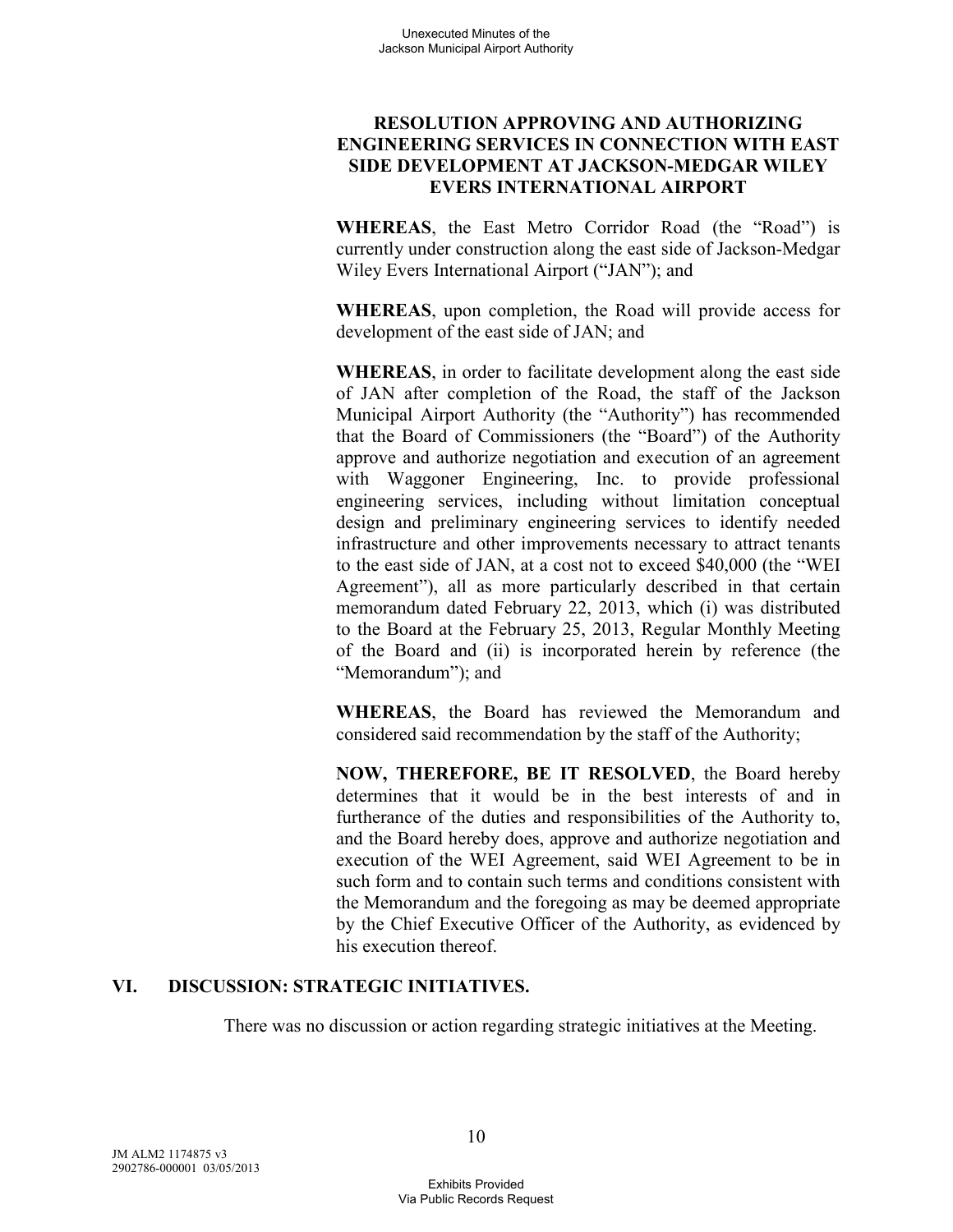# **RESOLUTION APPROVING AND AUTHORIZING ENGINEERING SERVICES IN CONNECTION WITH EAST SIDE DEVELOPMENT AT JACKSON-MEDGAR WILEY EVERS INTERNATIONAL AIRPORT**

**WHEREAS**, the East Metro Corridor Road (the "Road") is currently under construction along the east side of Jackson-Medgar Wiley Evers International Airport ("JAN"); and

**WHEREAS**, upon completion, the Road will provide access for development of the east side of JAN; and

**WHEREAS**, in order to facilitate development along the east side of JAN after completion of the Road, the staff of the Jackson Municipal Airport Authority (the "Authority") has recommended that the Board of Commissioners (the "Board") of the Authority approve and authorize negotiation and execution of an agreement with Waggoner Engineering, Inc. to provide professional engineering services, including without limitation conceptual design and preliminary engineering services to identify needed infrastructure and other improvements necessary to attract tenants to the east side of JAN, at a cost not to exceed \$40,000 (the "WEI Agreement"), all as more particularly described in that certain memorandum dated February 22, 2013, which (i) was distributed to the Board at the February 25, 2013, Regular Monthly Meeting of the Board and (ii) is incorporated herein by reference (the "Memorandum"); and

**WHEREAS**, the Board has reviewed the Memorandum and considered said recommendation by the staff of the Authority;

**NOW, THEREFORE, BE IT RESOLVED**, the Board hereby determines that it would be in the best interests of and in furtherance of the duties and responsibilities of the Authority to, and the Board hereby does, approve and authorize negotiation and execution of the WEI Agreement, said WEI Agreement to be in such form and to contain such terms and conditions consistent with the Memorandum and the foregoing as may be deemed appropriate by the Chief Executive Officer of the Authority, as evidenced by his execution thereof.

# **VI. DISCUSSION: STRATEGIC INITIATIVES.**

There was no discussion or action regarding strategic initiatives at the Meeting.